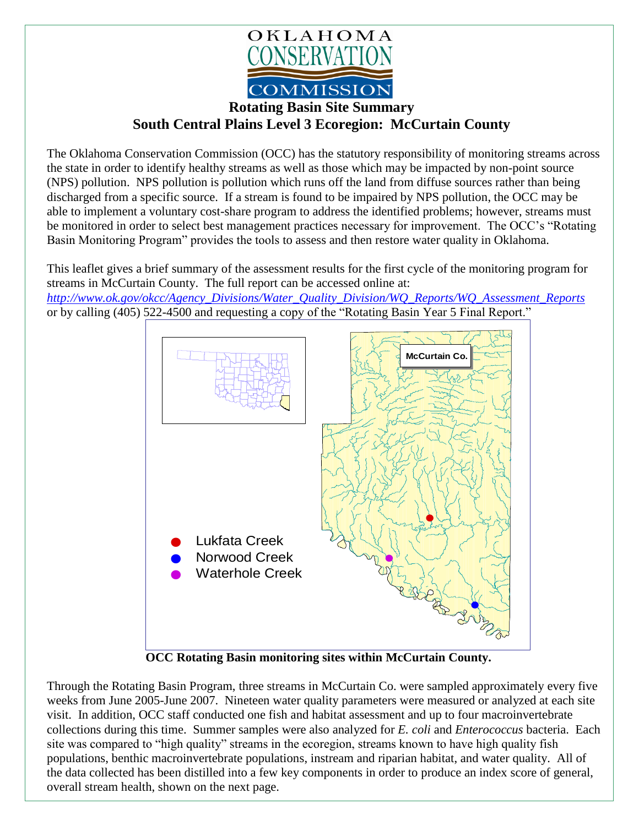

## **Rotating Basin Site Summary South Central Plains Level 3 Ecoregion: McCurtain County**

The Oklahoma Conservation Commission (OCC) has the statutory responsibility of monitoring streams across the state in order to identify healthy streams as well as those which may be impacted by non-point source (NPS) pollution. NPS pollution is pollution which runs off the land from diffuse sources rather than being discharged from a specific source. If a stream is found to be impaired by NPS pollution, the OCC may be able to implement a voluntary cost-share program to address the identified problems; however, streams must be monitored in order to select best management practices necessary for improvement. The OCC's "Rotating Basin Monitoring Program" provides the tools to assess and then restore water quality in Oklahoma.

This leaflet gives a brief summary of the assessment results for the first cycle of the monitoring program for streams in McCurtain County. The full report can be accessed online at:

*[http://www.ok.gov/okcc/Agency\\_Divisions/Water\\_Quality\\_Division/WQ\\_Reports/WQ\\_Assessment\\_Reports](http://www.ok.gov/okcc/Agency_Divisions/Water_Quality_Division/WQ_Reports/WQ_Assessment_Reports)* or by calling (405) 522-4500 and requesting a copy of the "Rotating Basin Year 5 Final Report."



**OCC Rotating Basin monitoring sites within McCurtain County.**

Through the Rotating Basin Program, three streams in McCurtain Co. were sampled approximately every five weeks from June 2005-June 2007. Nineteen water quality parameters were measured or analyzed at each site visit. In addition, OCC staff conducted one fish and habitat assessment and up to four macroinvertebrate collections during this time. Summer samples were also analyzed for *E. coli* and *Enterococcus* bacteria. Each site was compared to "high quality" streams in the ecoregion, streams known to have high quality fish populations, benthic macroinvertebrate populations, instream and riparian habitat, and water quality. All of the data collected has been distilled into a few key components in order to produce an index score of general, overall stream health, shown on the next page.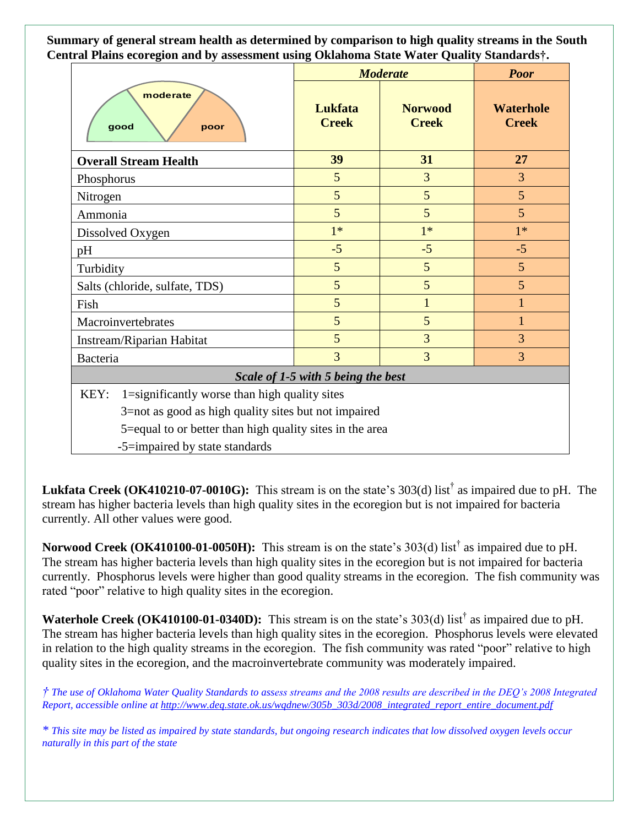**Summary of general stream health as determined by comparison to high quality streams in the South Central Plains ecoregion and by assessment using Oklahoma State Water Quality Standards†.**

|                                                          | <b>Moderate</b>         |                                | <b>Poor</b>                      |
|----------------------------------------------------------|-------------------------|--------------------------------|----------------------------------|
| moderate<br>good<br>poor                                 | Lukfata<br><b>Creek</b> | <b>Norwood</b><br><b>Creek</b> | <b>Waterhole</b><br><b>Creek</b> |
| <b>Overall Stream Health</b>                             | 39                      | 31                             | 27                               |
| Phosphorus                                               | 5                       | 3                              | 3                                |
| Nitrogen                                                 | 5                       | 5                              | 5                                |
| Ammonia                                                  | 5                       | 5                              | 5                                |
| Dissolved Oxygen                                         | $1*$                    | $1*$                           | $1*$                             |
| pH                                                       | $-5$                    | $-5$                           | $-5$                             |
| Turbidity                                                | 5                       | 5                              | 5                                |
| Salts (chloride, sulfate, TDS)                           | 5                       | 5                              | 5                                |
| Fish                                                     | 5                       | $\mathbf{1}$                   | 1                                |
| Macroinvertebrates                                       | 5                       | 5                              | 1                                |
| Instream/Riparian Habitat                                | 5                       | 3                              | 3                                |
| Bacteria                                                 | 3                       | 3                              | 3                                |
| Scale of 1-5 with 5 being the best                       |                         |                                |                                  |
| KEY:<br>1=significantly worse than high quality sites    |                         |                                |                                  |
| 3=not as good as high quality sites but not impaired     |                         |                                |                                  |
| 5=equal to or better than high quality sites in the area |                         |                                |                                  |
| -5=impaired by state standards                           |                         |                                |                                  |

Lukfata Creek (OK410210-07-0010G): This stream is on the state's 303(d) list<sup>†</sup> as impaired due to pH. The stream has higher bacteria levels than high quality sites in the ecoregion but is not impaired for bacteria currently. All other values were good.

**Norwood Creek (OK410100-01-0050H):** This stream is on the state's 303(d) list† as impaired due to pH. The stream has higher bacteria levels than high quality sites in the ecoregion but is not impaired for bacteria currently. Phosphorus levels were higher than good quality streams in the ecoregion. The fish community was rated "poor" relative to high quality sites in the ecoregion.

**Waterhole Creek** (OK410100-01-0340D): This stream is on the state's 303(d) list<sup>†</sup> as impaired due to pH. The stream has higher bacteria levels than high quality sites in the ecoregion. Phosphorus levels were elevated in relation to the high quality streams in the ecoregion. The fish community was rated "poor" relative to high quality sites in the ecoregion, and the macroinvertebrate community was moderately impaired.

*† The use of Oklahoma Water Quality Standards to assess streams and the 2008 results are described in the DEQ's 2008 Integrated Report, accessible online at [http://www.deq.state.ok.us/wqdnew/305b\\_303d/2008\\_integrated\\_report\\_entire\\_document.pdf](http://www.deq.state.ok.us/wqdnew/305b_303d/2008_integrated_report_entire_document.pdf)*

*\* This site may be listed as impaired by state standards, but ongoing research indicates that low dissolved oxygen levels occur naturally in this part of the state*